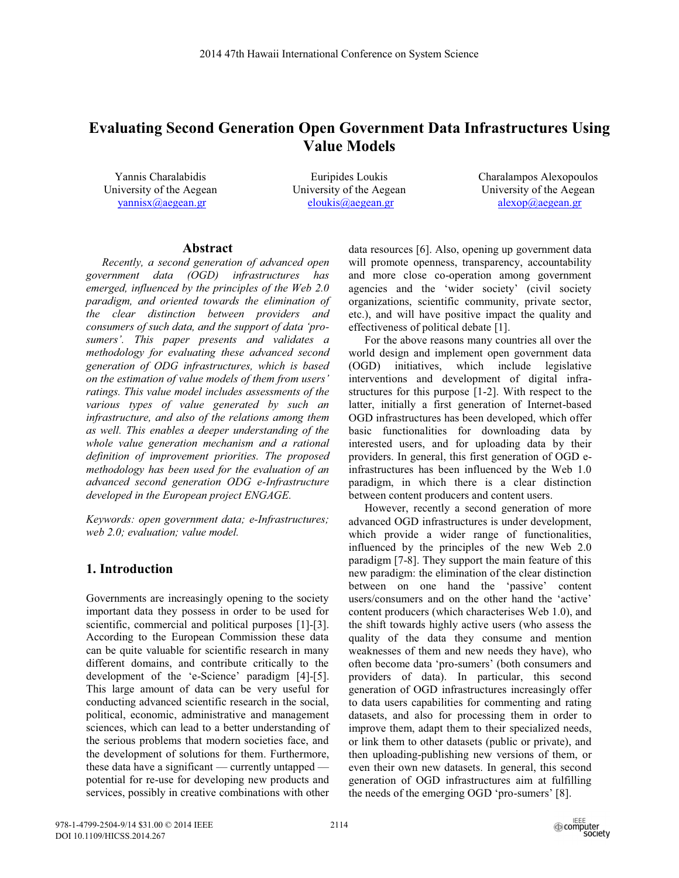# **Evaluating Second Generation Open Government Data Infrastructures Using Value Models**

Yannis Charalabidis University of the Aegean yannisx@aegean.gr

Euripides Loukis University of the Aegean eloukis@aegean.gr

Charalampos Alexopoulos University of the Aegean alexop@aegean.gr

#### **Abstract**

*Recently, a second generation of advanced open government data (OGD) infrastructures has emerged, influenced by the principles of the Web 2.0 paradigm, and oriented towards the elimination of the clear distinction between providers and consumers of such data, and the support of data 'prosumers'. This paper presents and validates a methodology for evaluating these advanced second generation of ODG infrastructures, which is based on the estimation of value models of them from users' ratings. This value model includes assessments of the various types of value generated by such an infrastructure, and also of the relations among them as well. This enables a deeper understanding of the whole value generation mechanism and a rational definition of improvement priorities. The proposed methodology has been used for the evaluation of an advanced second generation ODG e-Infrastructure developed in the European project ENGAGE.* 

*Keywords: open government data; e-Infrastructures; web 2.0; evaluation; value model.* 

### **1. Introduction**

Governments are increasingly opening to the society important data they possess in order to be used for scientific, commercial and political purposes [1]-[3]. According to the European Commission these data can be quite valuable for scientific research in many different domains, and contribute critically to the development of the 'e-Science' paradigm [4]-[5]. This large amount of data can be very useful for conducting advanced scientific research in the social, political, economic, administrative and management sciences, which can lead to a better understanding of the serious problems that modern societies face, and the development of solutions for them. Furthermore, these data have a significant — currently untapped potential for re-use for developing new products and services, possibly in creative combinations with other

data resources [6]. Also, opening up government data will promote openness, transparency, accountability and more close co-operation among government agencies and the 'wider society' (civil society organizations, scientific community, private sector, etc.), and will have positive impact the quality and effectiveness of political debate [1].

For the above reasons many countries all over the world design and implement open government data (OGD) initiatives, which include legislative interventions and development of digital infrastructures for this purpose [1-2]. With respect to the latter, initially a first generation of Internet-based OGD infrastructures has been developed, which offer basic functionalities for downloading data by interested users, and for uploading data by their providers. In general, this first generation of OGD einfrastructures has been influenced by the Web 1.0 paradigm, in which there is a clear distinction between content producers and content users.

However, recently a second generation of more advanced OGD infrastructures is under development, which provide a wider range of functionalities, influenced by the principles of the new Web 2.0 paradigm [7-8]. They support the main feature of this new paradigm: the elimination of the clear distinction between on one hand the 'passive' content users/consumers and on the other hand the 'active' content producers (which characterises Web 1.0), and the shift towards highly active users (who assess the quality of the data they consume and mention weaknesses of them and new needs they have), who often become data 'pro-sumers' (both consumers and providers of data). In particular, this second generation of OGD infrastructures increasingly offer to data users capabilities for commenting and rating datasets, and also for processing them in order to improve them, adapt them to their specialized needs, or link them to other datasets (public or private), and then uploading-publishing new versions of them, or even their own new datasets. In general, this second generation of OGD infrastructures aim at fulfilling the needs of the emerging OGD 'pro-sumers' [8].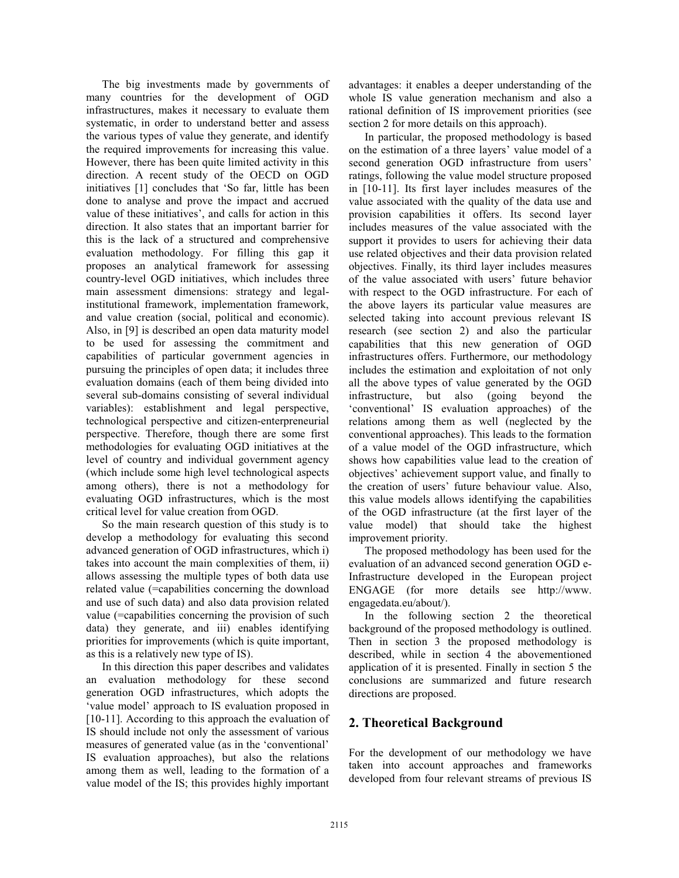The big investments made by governments of many countries for the development of OGD infrastructures, makes it necessary to evaluate them systematic, in order to understand better and assess the various types of value they generate, and identify the required improvements for increasing this value. However, there has been quite limited activity in this direction. A recent study of the OECD on OGD initiatives [1] concludes that 'So far, little has been done to analyse and prove the impact and accrued value of these initiatives', and calls for action in this direction. It also states that an important barrier for this is the lack of a structured and comprehensive evaluation methodology. For filling this gap it proposes an analytical framework for assessing country-level OGD initiatives, which includes three main assessment dimensions: strategy and legalinstitutional framework, implementation framework, and value creation (social, political and economic). Also, in [9] is described an open data maturity model to be used for assessing the commitment and capabilities of particular government agencies in pursuing the principles of open data; it includes three evaluation domains (each of them being divided into several sub-domains consisting of several individual variables): establishment and legal perspective, technological perspective and citizen-enterpreneurial perspective. Therefore, though there are some first methodologies for evaluating OGD initiatives at the level of country and individual government agency (which include some high level technological aspects among others), there is not a methodology for evaluating OGD infrastructures, which is the most critical level for value creation from OGD.

So the main research question of this study is to develop a methodology for evaluating this second advanced generation of OGD infrastructures, which i) takes into account the main complexities of them, ii) allows assessing the multiple types of both data use related value (=capabilities concerning the download and use of such data) and also data provision related value (=capabilities concerning the provision of such data) they generate, and iii) enables identifying priorities for improvements (which is quite important, as this is a relatively new type of IS).

In this direction this paper describes and validates an evaluation methodology for these second generation OGD infrastructures, which adopts the 'value model' approach to IS evaluation proposed in [10-11]. According to this approach the evaluation of IS should include not only the assessment of various measures of generated value (as in the 'conventional' IS evaluation approaches), but also the relations among them as well, leading to the formation of a value model of the IS; this provides highly important advantages: it enables a deeper understanding of the whole IS value generation mechanism and also a rational definition of IS improvement priorities (see section 2 for more details on this approach).

In particular, the proposed methodology is based on the estimation of a three layers' value model of a second generation OGD infrastructure from users' ratings, following the value model structure proposed in [10-11]. Its first layer includes measures of the value associated with the quality of the data use and provision capabilities it offers. Its second layer includes measures of the value associated with the support it provides to users for achieving their data use related objectives and their data provision related objectives. Finally, its third layer includes measures of the value associated with users' future behavior with respect to the OGD infrastructure. For each of the above layers its particular value measures are selected taking into account previous relevant IS research (see section 2) and also the particular capabilities that this new generation of OGD infrastructures offers. Furthermore, our methodology includes the estimation and exploitation of not only all the above types of value generated by the OGD infrastructure, but also (going beyond the 'conventional' IS evaluation approaches) of the relations among them as well (neglected by the conventional approaches). This leads to the formation of a value model of the OGD infrastructure, which shows how capabilities value lead to the creation of objectives' achievement support value, and finally to the creation of users' future behaviour value. Also, this value models allows identifying the capabilities of the OGD infrastructure (at the first layer of the value model) that should take the highest improvement priority.

The proposed methodology has been used for the evaluation of an advanced second generation OGD e-Infrastructure developed in the European project ENGAGE (for more details see http://www. engagedata.eu/about/).

In the following section 2 the theoretical background of the proposed methodology is outlined. Then in section 3 the proposed methodology is described, while in section 4 the abovementioned application of it is presented. Finally in section 5 the conclusions are summarized and future research directions are proposed.

## **2. Theoretical Background**

For the development of our methodology we have taken into account approaches and frameworks developed from four relevant streams of previous IS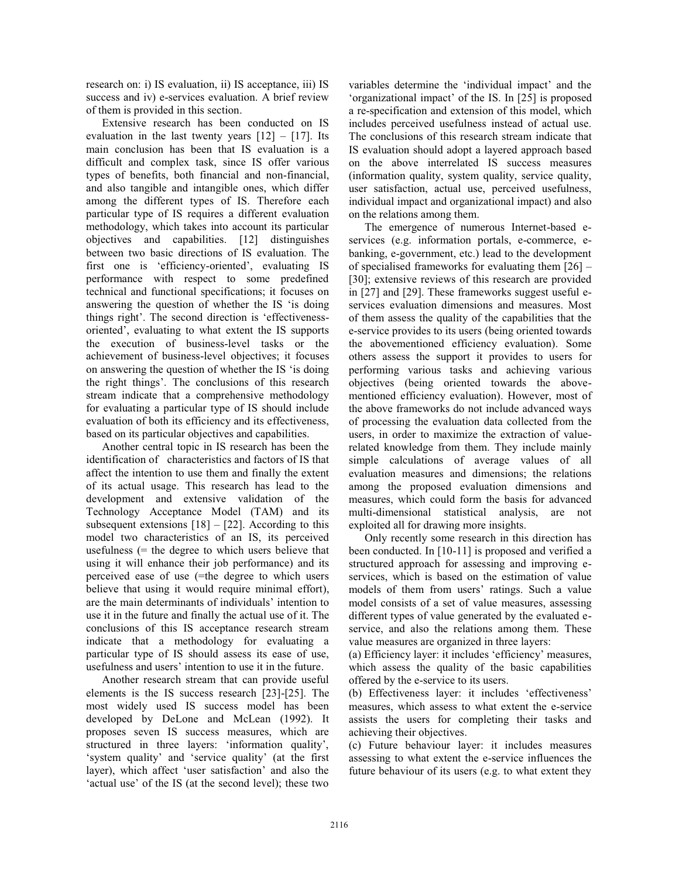research on: i) IS evaluation, ii) IS acceptance, iii) IS success and iv) e-services evaluation. A brief review of them is provided in this section.

Extensive research has been conducted on IS evaluation in the last twenty years  $[12] - [17]$ . Its main conclusion has been that IS evaluation is a difficult and complex task, since IS offer various types of benefits, both financial and non-financial, and also tangible and intangible ones, which differ among the different types of IS. Therefore each particular type of IS requires a different evaluation methodology, which takes into account its particular objectives and capabilities. [12] distinguishes between two basic directions of IS evaluation. The first one is 'efficiency-oriented', evaluating IS performance with respect to some predefined technical and functional specifications; it focuses on answering the question of whether the IS 'is doing things right'. The second direction is 'effectivenessoriented', evaluating to what extent the IS supports the execution of business-level tasks or the achievement of business-level objectives; it focuses on answering the question of whether the IS 'is doing the right things'. The conclusions of this research stream indicate that a comprehensive methodology for evaluating a particular type of IS should include evaluation of both its efficiency and its effectiveness, based on its particular objectives and capabilities.

Another central topic in IS research has been the identification of characteristics and factors of IS that affect the intention to use them and finally the extent of its actual usage. This research has lead to the development and extensive validation of the Technology Acceptance Model (TAM) and its subsequent extensions  $[18] - [22]$ . According to this model two characteristics of an IS, its perceived usefulness (= the degree to which users believe that using it will enhance their job performance) and its perceived ease of use (=the degree to which users believe that using it would require minimal effort), are the main determinants of individuals' intention to use it in the future and finally the actual use of it. The conclusions of this IS acceptance research stream indicate that a methodology for evaluating a particular type of IS should assess its ease of use, usefulness and users' intention to use it in the future.

Another research stream that can provide useful elements is the IS success research [23]-[25]. The most widely used IS success model has been developed by DeLone and McLean (1992). It proposes seven IS success measures, which are structured in three layers: 'information quality', 'system quality' and 'service quality' (at the first layer), which affect 'user satisfaction' and also the 'actual use' of the IS (at the second level); these two variables determine the 'individual impact' and the 'organizational impact' of the IS. In [25] is proposed a re-specification and extension of this model, which includes perceived usefulness instead of actual use. The conclusions of this research stream indicate that IS evaluation should adopt a layered approach based on the above interrelated IS success measures (information quality, system quality, service quality, user satisfaction, actual use, perceived usefulness, individual impact and organizational impact) and also on the relations among them.

The emergence of numerous Internet-based eservices (e.g. information portals, e-commerce, ebanking, e-government, etc.) lead to the development of specialised frameworks for evaluating them [26] – [30]; extensive reviews of this research are provided in [27] and [29]. These frameworks suggest useful eservices evaluation dimensions and measures. Most of them assess the quality of the capabilities that the e-service provides to its users (being oriented towards the abovementioned efficiency evaluation). Some others assess the support it provides to users for performing various tasks and achieving various objectives (being oriented towards the abovementioned efficiency evaluation). However, most of the above frameworks do not include advanced ways of processing the evaluation data collected from the users, in order to maximize the extraction of valuerelated knowledge from them. They include mainly simple calculations of average values of all evaluation measures and dimensions; the relations among the proposed evaluation dimensions and measures, which could form the basis for advanced multi-dimensional statistical analysis, are not exploited all for drawing more insights.

Only recently some research in this direction has been conducted. In [10-11] is proposed and verified a structured approach for assessing and improving eservices, which is based on the estimation of value models of them from users' ratings. Such a value model consists of a set of value measures, assessing different types of value generated by the evaluated eservice, and also the relations among them. These value measures are organized in three layers:

(a) Efficiency layer: it includes 'efficiency' measures, which assess the quality of the basic capabilities offered by the e-service to its users.

(b) Effectiveness layer: it includes 'effectiveness' measures, which assess to what extent the e-service assists the users for completing their tasks and achieving their objectives.

(c) Future behaviour layer: it includes measures assessing to what extent the e-service influences the future behaviour of its users (e.g. to what extent they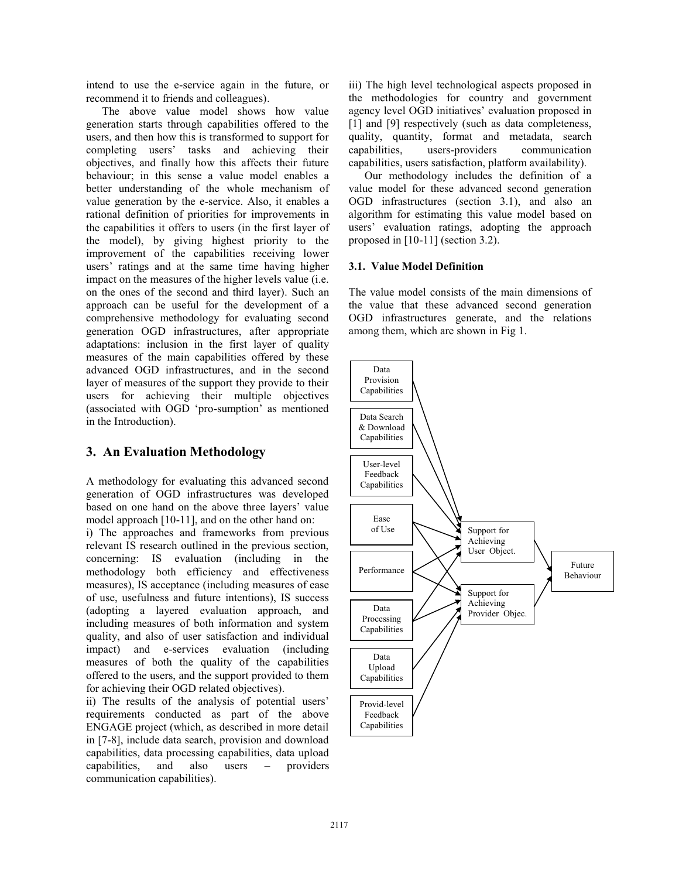intend to use the e-service again in the future, or recommend it to friends and colleagues).

The above value model shows how value generation starts through capabilities offered to the users, and then how this is transformed to support for completing users' tasks and achieving their objectives, and finally how this affects their future behaviour; in this sense a value model enables a better understanding of the whole mechanism of value generation by the e-service. Also, it enables a rational definition of priorities for improvements in the capabilities it offers to users (in the first layer of the model), by giving highest priority to the improvement of the capabilities receiving lower users' ratings and at the same time having higher impact on the measures of the higher levels value (i.e. on the ones of the second and third layer). Such an approach can be useful for the development of a comprehensive methodology for evaluating second generation OGD infrastructures, after appropriate adaptations: inclusion in the first layer of quality measures of the main capabilities offered by these advanced OGD infrastructures, and in the second layer of measures of the support they provide to their users for achieving their multiple objectives (associated with OGD 'pro-sumption' as mentioned in the Introduction).

## **3. An Evaluation Methodology**

A methodology for evaluating this advanced second generation of OGD infrastructures was developed based on one hand on the above three layers' value model approach [10-11], and on the other hand on:

i) The approaches and frameworks from previous relevant IS research outlined in the previous section, concerning: IS evaluation (including in the methodology both efficiency and effectiveness measures), IS acceptance (including measures of ease of use, usefulness and future intentions), IS success (adopting a layered evaluation approach, and including measures of both information and system quality, and also of user satisfaction and individual impact) and e-services evaluation (including measures of both the quality of the capabilities offered to the users, and the support provided to them for achieving their OGD related objectives).

ii) The results of the analysis of potential users' requirements conducted as part of the above ENGAGE project (which, as described in more detail in [7-8], include data search, provision and download capabilities, data processing capabilities, data upload capabilities, and also users – providers communication capabilities).

iii) The high level technological aspects proposed in the methodologies for country and government agency level OGD initiatives' evaluation proposed in [1] and [9] respectively (such as data completeness, quality, quantity, format and metadata, search capabilities, users-providers communication capabilities, users satisfaction, platform availability).

Our methodology includes the definition of a value model for these advanced second generation OGD infrastructures (section 3.1), and also an algorithm for estimating this value model based on users' evaluation ratings, adopting the approach proposed in [10-11] (section 3.2).

### **3.1. Value Model Definition**

The value model consists of the main dimensions of the value that these advanced second generation OGD infrastructures generate, and the relations among them, which are shown in Fig 1.

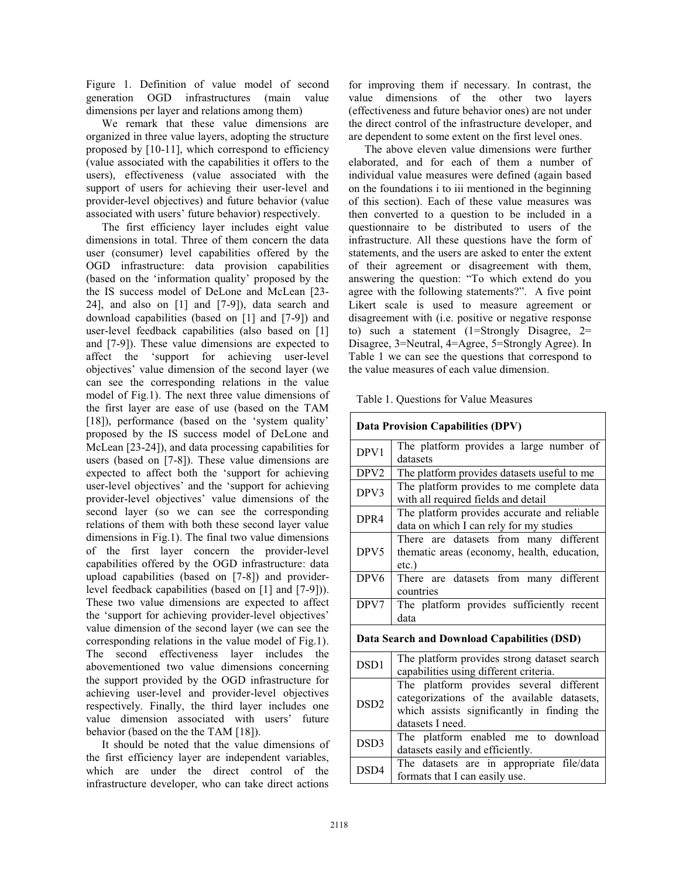Figure 1. Definition of value model of second generation OGD infrastructures (main value dimensions per layer and relations among them)

We remark that these value dimensions are organized in three value layers, adopting the structure proposed by [10-11], which correspond to efficiency (value associated with the capabilities it offers to the users), effectiveness (value associated with the support of users for achieving their user-level and provider-level objectives) and future behavior (value associated with users' future behavior) respectively.

The first efficiency layer includes eight value dimensions in total. Three of them concern the data user (consumer) level capabilities offered by the OGD infrastructure: data provision capabilities (based on the 'information quality' proposed by the the IS success model of DeLone and McLean [23- 24], and also on [1] and [7-9]), data search and download capabilities (based on [1] and [7-9]) and user-level feedback capabilities (also based on [1] and [7-9]). These value dimensions are expected to affect the 'support for achieving user-level objectives' value dimension of the second layer (we can see the corresponding relations in the value model of Fig.1). The next three value dimensions of the first layer are ease of use (based on the TAM [18]), performance (based on the 'system quality' proposed by the IS success model of DeLone and McLean [23-24]), and data processing capabilities for users (based on [7-8]). These value dimensions are expected to affect both the 'support for achieving user-level objectives' and the 'support for achieving provider-level objectives' value dimensions of the second layer (so we can see the corresponding relations of them with both these second layer value dimensions in Fig.1). The final two value dimensions of the first layer concern the provider-level capabilities offered by the OGD infrastructure: data upload capabilities (based on [7-8]) and providerlevel feedback capabilities (based on [1] and [7-9])). These two value dimensions are expected to affect the 'support for achieving provider-level objectives' value dimension of the second layer (we can see the corresponding relations in the value model of Fig.1). The second effectiveness layer includes the abovementioned two value dimensions concerning the support provided by the OGD infrastructure for achieving user-level and provider-level objectives respectively. Finally, the third layer includes one value dimension associated with users' future behavior (based on the the TAM [18]).

It should be noted that the value dimensions of the first efficiency layer are independent variables, which are under the direct control of the infrastructure developer, who can take direct actions

for improving them if necessary. In contrast, the value dimensions of the other two layers (effectiveness and future behavior ones) are not under the direct control of the infrastructure developer, and are dependent to some extent on the first level ones.

The above eleven value dimensions were further elaborated, and for each of them a number of individual value measures were defined (again based on the foundations i to iii mentioned in the beginning of this section). Each of these value measures was then converted to a question to be included in a questionnaire to be distributed to users of the infrastructure. All these questions have the form of statements, and the users are asked to enter the extent of their agreement or disagreement with them, answering the question: "To which extend do you agree with the following statements?". A five point Likert scale is used to measure agreement or disagreement with (i.e. positive or negative response to) such a statement (1=Strongly Disagree, 2= Disagree, 3=Neutral, 4=Agree, 5=Strongly Agree). In Table 1 we can see the questions that correspond to the value measures of each value dimension.

Table 1. Questions for Value Measures

| <b>Data Provision Capabilities (DPV)</b>    |                                                                                                                                                         |  |
|---------------------------------------------|---------------------------------------------------------------------------------------------------------------------------------------------------------|--|
| DPV1                                        | The platform provides a large number of<br>datasets                                                                                                     |  |
| DPV <sub>2</sub>                            | The platform provides datasets useful to me                                                                                                             |  |
| DPV <sub>3</sub>                            | The platform provides to me complete data<br>with all required fields and detail                                                                        |  |
| DPR4                                        | The platform provides accurate and reliable<br>data on which I can rely for my studies                                                                  |  |
| DPV <sub>5</sub>                            | There are datasets from many different<br>thematic areas (economy, health, education,<br>$etc.$ )                                                       |  |
| DPV <sub>6</sub>                            | There are datasets from many different<br>countries                                                                                                     |  |
| DPV7                                        | The platform provides sufficiently recent<br>data                                                                                                       |  |
| Data Search and Download Capabilities (DSD) |                                                                                                                                                         |  |
| DSD <sub>1</sub>                            | The platform provides strong dataset search<br>capabilities using different criteria.                                                                   |  |
| DSD <sub>2</sub>                            | The platform provides several different<br>categorizations of the available datasets,<br>which assists significantly in finding the<br>datasets I need. |  |
| DSD <sub>3</sub>                            | The platform enabled me to download<br>datasets easily and efficiently.                                                                                 |  |
| DSD <sub>4</sub>                            | The datasets are in appropriate file/data<br>formats that I can easily use.                                                                             |  |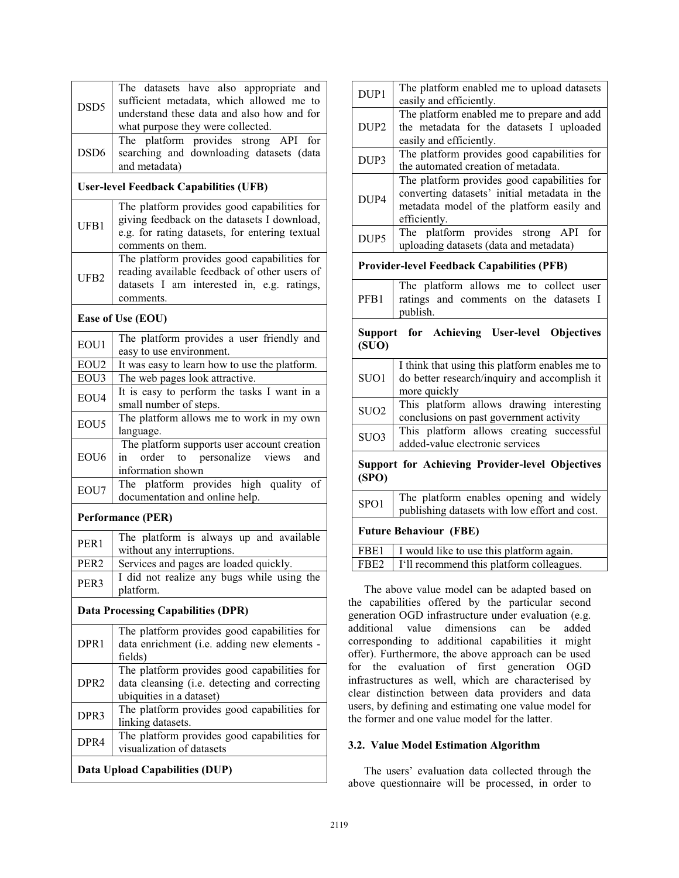| DSD <sub>5</sub>                          | The datasets have also appropriate and<br>sufficient metadata, which allowed me to<br>understand these data and also how and for<br>what purpose they were collected. |  |  |
|-------------------------------------------|-----------------------------------------------------------------------------------------------------------------------------------------------------------------------|--|--|
| DSD <sub>6</sub>                          | The platform provides strong API for<br>searching and downloading datasets (data<br>and metadata)                                                                     |  |  |
|                                           | <b>User-level Feedback Capabilities (UFB)</b>                                                                                                                         |  |  |
| UFB1                                      | The platform provides good capabilities for<br>giving feedback on the datasets I download,<br>e.g. for rating datasets, for entering textual<br>comments on them.     |  |  |
| UFB <sub>2</sub>                          | The platform provides good capabilities for<br>reading available feedback of other users of<br>datasets I am interested in, e.g. ratings,<br>comments.                |  |  |
|                                           | Ease of Use (EOU)                                                                                                                                                     |  |  |
| EOU1                                      | The platform provides a user friendly and<br>easy to use environment.                                                                                                 |  |  |
| EOU <sub>2</sub>                          | It was easy to learn how to use the platform.                                                                                                                         |  |  |
| EOU3                                      | The web pages look attractive.                                                                                                                                        |  |  |
| EOU4                                      | It is easy to perform the tasks I want in a<br>small number of steps.                                                                                                 |  |  |
| EOU <sub>5</sub>                          | The platform allows me to work in my own<br>language.                                                                                                                 |  |  |
| EOU <sub>6</sub>                          | The platform supports user account creation<br>in order to personalize views<br>and<br>information shown                                                              |  |  |
| EOU7                                      | The platform provides high quality of<br>documentation and online help.                                                                                               |  |  |
|                                           | <b>Performance (PER)</b>                                                                                                                                              |  |  |
| PER1                                      | The platform is always up and available<br>without any interruptions.                                                                                                 |  |  |
| PER <sub>2</sub>                          | Services and pages are loaded quickly.                                                                                                                                |  |  |
| PER3                                      | I did not realize any bugs while using the<br>platform.                                                                                                               |  |  |
| <b>Data Processing Capabilities (DPR)</b> |                                                                                                                                                                       |  |  |
| DPR1                                      | The platform provides good capabilities for<br>data enrichment (i.e. adding new elements -<br>fields)                                                                 |  |  |
| DPR <sub>2</sub>                          | The platform provides good capabilities for<br>data cleansing (i.e. detecting and correcting<br>ubiquities in a dataset)                                              |  |  |
| DPR3                                      | The platform provides good capabilities for<br>linking datasets.                                                                                                      |  |  |
| DPR4                                      | The platform provides good capabilities for<br>visualization of datasets                                                                                              |  |  |
|                                           | Data Upload Capabilities (DUP)                                                                                                                                        |  |  |

| DUP1             | The platform enabled me to upload datasets<br>easily and efficiently.                                                                                    |  |  |
|------------------|----------------------------------------------------------------------------------------------------------------------------------------------------------|--|--|
|                  |                                                                                                                                                          |  |  |
| DUP <sub>2</sub> | The platform enabled me to prepare and add<br>the metadata for the datasets I uploaded<br>easily and efficiently.                                        |  |  |
| DUP3             | The platform provides good capabilities for<br>the automated creation of metadata.                                                                       |  |  |
| DUP4             | The platform provides good capabilities for<br>converting datasets' initial metadata in the<br>metadata model of the platform easily and<br>efficiently. |  |  |
| DUP <sub>5</sub> | provides strong API<br>The platform<br>for<br>uploading datasets (data and metadata)                                                                     |  |  |
|                  | Provider-level Feedback Capabilities (PFB)                                                                                                               |  |  |
| PFB1             | The platform allows me to collect user<br>ratings and comments on the datasets I<br>publish.                                                             |  |  |
|                  |                                                                                                                                                          |  |  |
| (SUO)            | Support for Achieving User-level Objectives                                                                                                              |  |  |
| SUO1             | I think that using this platform enables me to<br>do better research/inquiry and accomplish it<br>more quickly                                           |  |  |
| SUO <sub>2</sub> | This platform allows drawing interesting<br>conclusions on past government activity                                                                      |  |  |
| SUO <sub>3</sub> | This platform allows creating successful<br>added-value electronic services                                                                              |  |  |
| (SPO)            | <b>Support for Achieving Provider-level Objectives</b>                                                                                                   |  |  |
| SPO <sub>1</sub> | The platform enables opening and widely<br>publishing datasets with low effort and cost.                                                                 |  |  |
|                  | <b>Future Behaviour (FBE)</b>                                                                                                                            |  |  |
| FBE1             | I would like to use this platform again.                                                                                                                 |  |  |

The above value model can be adapted based on the capabilities offered by the particular second generation OGD infrastructure under evaluation (e.g. additional value dimensions can be added corresponding to additional capabilities it might offer). Furthermore, the above approach can be used for the evaluation of first generation OGD infrastructures as well, which are characterised by clear distinction between data providers and data users, by defining and estimating one value model for the former and one value model for the latter.

#### **3.2. Value Model Estimation Algorithm**

The users' evaluation data collected through the above questionnaire will be processed, in order to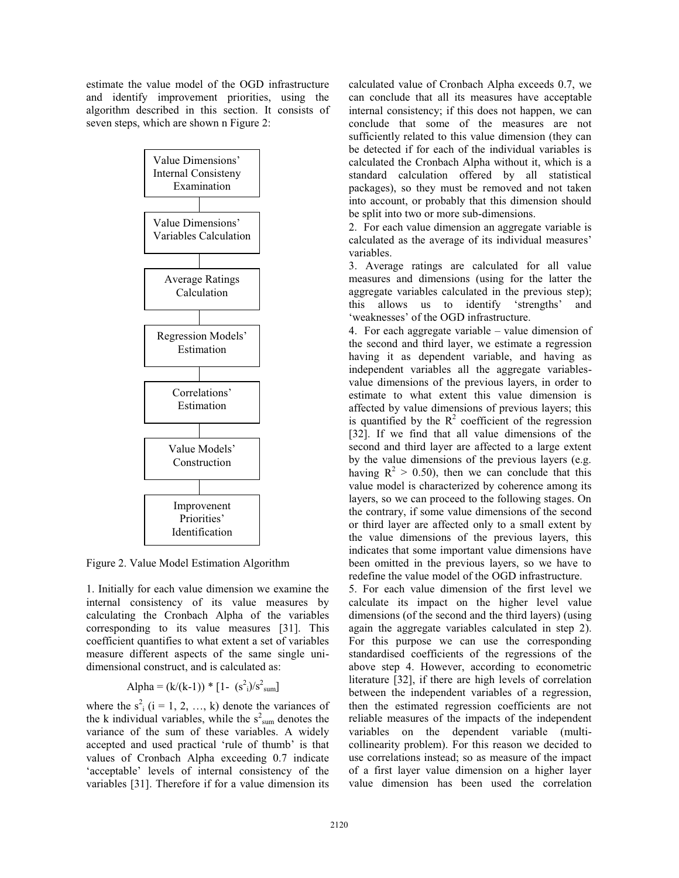estimate the value model of the OGD infrastructure and identify improvement priorities, using the algorithm described in this section. It consists of seven steps, which are shown n Figure 2:



Figure 2. Value Model Estimation Algorithm

1. Initially for each value dimension we examine the internal consistency of its value measures by calculating the Cronbach Alpha of the variables corresponding to its value measures [31]. This coefficient quantifies to what extent a set of variables measure different aspects of the same single unidimensional construct, and is calculated as:

Alpha = 
$$
(k/(k-1)) * [1 - (s^2)/s^2_{sum}]
$$

where the  $s^2$ <sub>i</sub> (i = 1, 2, ..., k) denote the variances of the k individual variables, while the  $s^2_{sum}$  denotes the variance of the sum of these variables. A widely accepted and used practical 'rule of thumb' is that values of Cronbach Alpha exceeding 0.7 indicate 'acceptable' levels of internal consistency of the variables [31]. Therefore if for a value dimension its

calculated value of Cronbach Alpha exceeds 0.7, we can conclude that all its measures have acceptable internal consistency; if this does not happen, we can conclude that some of the measures are not sufficiently related to this value dimension (they can be detected if for each of the individual variables is calculated the Cronbach Alpha without it, which is a standard calculation offered by all statistical packages), so they must be removed and not taken into account, or probably that this dimension should be split into two or more sub-dimensions.

2. For each value dimension an aggregate variable is calculated as the average of its individual measures' variables.

3. Average ratings are calculated for all value measures and dimensions (using for the latter the aggregate variables calculated in the previous step); this allows us to identify 'strengths' and 'weaknesses' of the OGD infrastructure.

4. For each aggregate variable – value dimension of the second and third layer, we estimate a regression having it as dependent variable, and having as independent variables all the aggregate variablesvalue dimensions of the previous layers, in order to estimate to what extent this value dimension is affected by value dimensions of previous layers; this is quantified by the  $R^2$  coefficient of the regression [32]. If we find that all value dimensions of the second and third layer are affected to a large extent by the value dimensions of the previous layers (e.g. having  $R^2 > 0.50$ ), then we can conclude that this value model is characterized by coherence among its layers, so we can proceed to the following stages. On the contrary, if some value dimensions of the second or third layer are affected only to a small extent by the value dimensions of the previous layers, this indicates that some important value dimensions have been omitted in the previous layers, so we have to redefine the value model of the OGD infrastructure.

5. For each value dimension of the first level we calculate its impact on the higher level value dimensions (of the second and the third layers) (using again the aggregate variables calculated in step 2). For this purpose we can use the corresponding standardised coefficients of the regressions of the above step 4. However, according to econometric literature [32], if there are high levels of correlation between the independent variables of a regression, then the estimated regression coefficients are not reliable measures of the impacts of the independent variables on the dependent variable (multicollinearity problem). For this reason we decided to use correlations instead; so as measure of the impact of a first layer value dimension on a higher layer value dimension has been used the correlation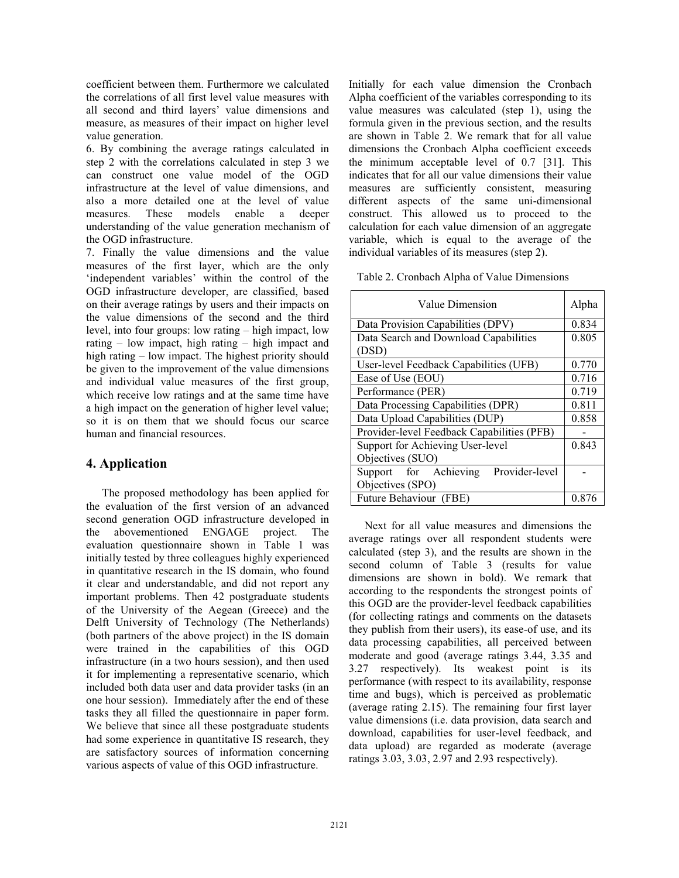coefficient between them. Furthermore we calculated the correlations of all first level value measures with all second and third layers' value dimensions and measure, as measures of their impact on higher level value generation.

6. By combining the average ratings calculated in step 2 with the correlations calculated in step 3 we can construct one value model of the OGD infrastructure at the level of value dimensions, and also a more detailed one at the level of value measures. These models enable a deeper understanding of the value generation mechanism of the OGD infrastructure.

7. Finally the value dimensions and the value measures of the first layer, which are the only 'independent variables' within the control of the OGD infrastructure developer, are classified, based on their average ratings by users and their impacts on the value dimensions of the second and the third level, into four groups: low rating – high impact, low rating – low impact, high rating – high impact and high rating – low impact. The highest priority should be given to the improvement of the value dimensions and individual value measures of the first group, which receive low ratings and at the same time have a high impact on the generation of higher level value; so it is on them that we should focus our scarce human and financial resources.

## **4. Application**

The proposed methodology has been applied for the evaluation of the first version of an advanced second generation OGD infrastructure developed in the abovementioned ENGAGE project. The evaluation questionnaire shown in Table 1 was initially tested by three colleagues highly experienced in quantitative research in the IS domain, who found it clear and understandable, and did not report any important problems. Then 42 postgraduate students of the University of the Aegean (Greece) and the Delft University of Technology (The Netherlands) (both partners of the above project) in the IS domain were trained in the capabilities of this OGD infrastructure (in a two hours session), and then used it for implementing a representative scenario, which included both data user and data provider tasks (in an one hour session). Immediately after the end of these tasks they all filled the questionnaire in paper form. We believe that since all these postgraduate students had some experience in quantitative IS research, they are satisfactory sources of information concerning various aspects of value of this OGD infrastructure.

Initially for each value dimension the Cronbach Alpha coefficient of the variables corresponding to its value measures was calculated (step 1), using the formula given in the previous section, and the results are shown in Table 2. We remark that for all value dimensions the Cronbach Alpha coefficient exceeds the minimum acceptable level of 0.7 [31]. This indicates that for all our value dimensions their value measures are sufficiently consistent, measuring different aspects of the same uni-dimensional construct. This allowed us to proceed to the calculation for each value dimension of an aggregate variable, which is equal to the average of the individual variables of its measures (step 2).

Table 2. Cronbach Alpha of Value Dimensions

| Value Dimension                            | Alpha |
|--------------------------------------------|-------|
| Data Provision Capabilities (DPV)          | 0.834 |
| Data Search and Download Capabilities      | 0.805 |
| (DSD)                                      |       |
| User-level Feedback Capabilities (UFB)     | 0.770 |
| Ease of Use (EOU)                          | 0.716 |
| Performance (PER)                          | 0.719 |
| Data Processing Capabilities (DPR)         | 0.811 |
| Data Upload Capabilities (DUP)             | 0.858 |
| Provider-level Feedback Capabilities (PFB) |       |
| Support for Achieving User-level           | 0.843 |
| Objectives (SUO)                           |       |
| Provider-level<br>Support for Achieving    |       |
| Objectives (SPO)                           |       |
| Future Behaviour (FBE)                     | 0.876 |

Next for all value measures and dimensions the average ratings over all respondent students were calculated (step 3), and the results are shown in the second column of Table 3 (results for value dimensions are shown in bold). We remark that according to the respondents the strongest points of this OGD are the provider-level feedback capabilities (for collecting ratings and comments on the datasets they publish from their users), its ease-of use, and its data processing capabilities, all perceived between moderate and good (average ratings 3.44, 3.35 and 3.27 respectively). Its weakest point is its performance (with respect to its availability, response time and bugs), which is perceived as problematic (average rating 2.15). The remaining four first layer value dimensions (i.e. data provision, data search and download, capabilities for user-level feedback, and data upload) are regarded as moderate (average ratings 3.03, 3.03, 2.97 and 2.93 respectively).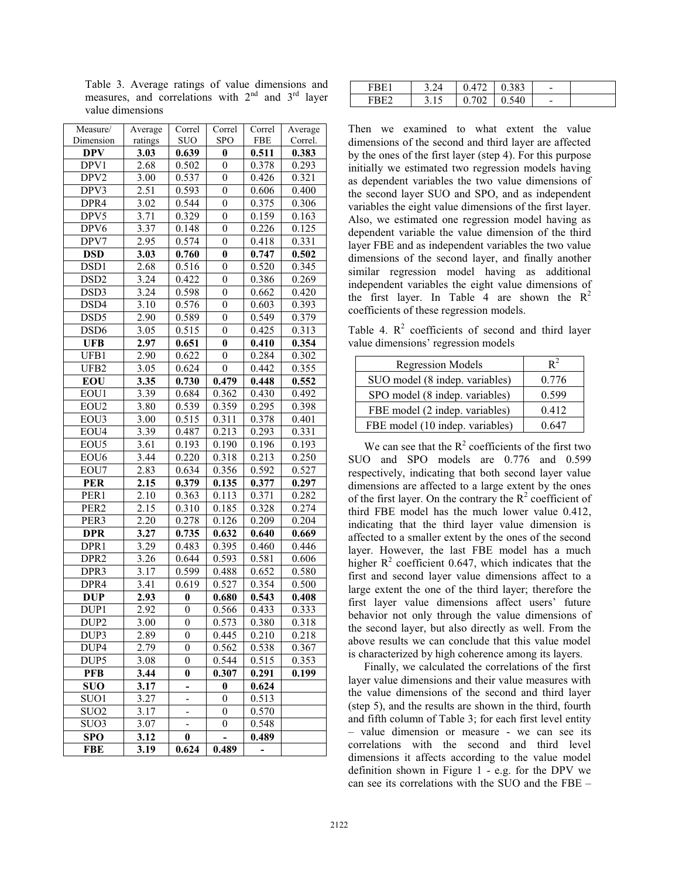| Measure/                                   | Average           | Correl           | Correl           | Correl                   | Average |
|--------------------------------------------|-------------------|------------------|------------------|--------------------------|---------|
| Dimension                                  | ratings           | <b>SUO</b>       | <b>SPO</b>       | FBE                      | Correl. |
| <b>DPV</b>                                 | 3.03              | 0.639            | $\bf{0}$         | 0.511                    | 0.383   |
| DPV1                                       | 2.68              | 0.502            | $\boldsymbol{0}$ | 0.378                    | 0.293   |
| DPV2                                       | 3.00              | 0.537            | $\boldsymbol{0}$ | 0.426                    | 0.321   |
| DPV3                                       | 2.51              | 0.593            | $\boldsymbol{0}$ | 0.606                    | 0.400   |
| DPR4                                       | 3.02              | 0.544            | $\mathbf{0}$     | 0.375                    | 0.306   |
| DPV5                                       | 3.71              | 0.329            | $\mathbf{0}$     | 0.159                    | 0.163   |
| DPV6                                       | 3.37              | 0.148            | $\boldsymbol{0}$ | 0.226                    | 0.125   |
| DPV7                                       | 2.95              | 0.574            | $\mathbf{0}$     | 0.418                    | 0.331   |
| <b>DSD</b>                                 | 3.03              | 0.760            | $\bf{0}$         | 0.747                    | 0.502   |
| DSD1                                       | 2.68              | 0.516            | $\boldsymbol{0}$ | 0.520                    | 0.345   |
| DSD <sub>2</sub>                           | 3.24              | 0.422            | $\boldsymbol{0}$ | 0.386                    | 0.269   |
| DSD3                                       | 3.24              | 0.598            | $\boldsymbol{0}$ | 0.662                    | 0.420   |
| DSD4                                       | 3.10              | 0.576            | $\boldsymbol{0}$ | 0.603                    | 0.393   |
| DSD <sub>5</sub>                           | 2.90              | 0.589            | $\boldsymbol{0}$ | 0.549                    | 0.379   |
| DSD <sub>6</sub>                           | 3.05              | 0.515            | $\boldsymbol{0}$ | 0.425                    | 0.313   |
| <b>UFB</b>                                 | 2.97              | 0.651            | $\bf{0}$         | 0.410                    | 0.354   |
| UFB1                                       | 2.90              | 0.622            | 0                | 0.284                    | 0.302   |
| UFB <sub>2</sub>                           | 3.05              | 0.624            | $\boldsymbol{0}$ | 0.442                    | 0.355   |
| <b>EOU</b>                                 | 3.35              | 0.730            | 0.479            | 0.448                    | 0.552   |
| EOU1                                       | 3.39              | 0.684            | 0.362            | 0.430                    | 0.492   |
| EOU <sub>2</sub>                           | 3.80              | 0.539            | 0.359            | 0.295                    | 0.398   |
| EOU3                                       | 3.00              | 0.515            | 0.311            | 0.378                    | 0.401   |
| EOU4                                       | 3.39              | 0.487            | 0.213            | 0.293                    | 0.331   |
| EOU <sub>5</sub>                           | 3.61              | 0.193            | 0.190            | 0.196                    | 0.193   |
| EOU <sub>6</sub>                           | 3.44              | 0.220            | 0.318            | 0.213                    | 0.250   |
| EOU7                                       | 2.83              | 0.634            | 0.356            | 0.592                    | 0.527   |
| <b>PER</b>                                 | 2.15              | 0.379            | 0.135            | 0.377                    | 0.297   |
| PER1                                       | $\overline{2.10}$ | 0.363            | 0.113            | 0.371                    | 0.282   |
| PER <sub>2</sub>                           | 2.15              | 0.310            | 0.185            | 0.328                    | 0.274   |
| PER3                                       | $\overline{2.20}$ | 0.278            | 0.126            | 0.209                    | 0.204   |
| <b>DPR</b>                                 | 3.27              | 0.735            | 0.632            | 0.640                    | 0.669   |
| DPR1                                       | 3.29              | 0.483            | 0.395            | 0.460                    | 0.446   |
| DPR <sub>2</sub>                           | 3.26              | 0.644            | 0.593            | 0.581                    | 0.606   |
| DPR3                                       | 3.17              | 0.599            | 0.488            | 0.652                    | 0.580   |
| DPR4                                       | 3.41              | 0.619            | 0.527            | 0.354                    | 0.500   |
| <b>DUP</b>                                 | 2.93              | 0                | 0.680            | 0.543                    | 0.408   |
| $\overline{D} \overline{U}$ P <sub>1</sub> | 2.92              | $\boldsymbol{0}$ | 0.566            | 0.433                    | 0.333   |
| DUP <sub>2</sub>                           | 3.00              | $\boldsymbol{0}$ | 0.573            | 0.380                    | 0.318   |
| DUP3                                       | 2.89              | 0                | 0.445            | 0.210                    | 0.218   |
| DUP4                                       | 2.79              | 0                | 0.562            | 0.538                    | 0.367   |
| DUP <sub>5</sub>                           | 3.08              | $\mathbf{0}$     | 0.544            | 0.515                    | 0.353   |
| PFB                                        | 3.44              | $\bf{0}$         | 0.307            | 0.291                    | 0.199   |
| <b>SUO</b>                                 | 3.17              |                  | $\bf{0}$         | 0.624                    |         |
| SUO1                                       | 3.27              | -                | 0                | 0.513                    |         |
| SUO <sub>2</sub>                           | 3.17              |                  | 0                | 0.570                    |         |
| SUO3                                       | 3.07              |                  | 0                | 0.548                    |         |
| <b>SPO</b>                                 | 3.12              | 0                |                  | 0.489                    |         |
| FBE                                        | 3.19              | 0.624            | 0.489            | $\overline{\phantom{0}}$ |         |

Table 3. Average ratings of value dimensions and measures, and correlations with  $2<sup>nd</sup>$  and  $3<sup>rd</sup>$  layer value dimensions

| 3.24 | $0.472 \pm 0.383$ |   |  |
|------|-------------------|---|--|
| 3.15 | $0.702 \pm 0.540$ | - |  |

Then we examined to what extent the value dimensions of the second and third layer are affected by the ones of the first layer (step 4). For this purpose initially we estimated two regression models having as dependent variables the two value dimensions of the second layer SUO and SPO, and as independent variables the eight value dimensions of the first layer. Also, we estimated one regression model having as dependent variable the value dimension of the third layer FBE and as independent variables the two value dimensions of the second layer, and finally another similar regression model having as additional independent variables the eight value dimensions of the first layer. In Table 4 are shown the  $R^2$ coefficients of these regression models.

Table 4.  $R^2$  coefficients of second and third layer value dimensions' regression models

| <b>Regression Models</b>        | $R^2$ |
|---------------------------------|-------|
| SUO model (8 indep. variables)  | 0.776 |
| SPO model (8 indep. variables)  | 0.599 |
| FBE model (2 indep. variables)  | 0.412 |
| FBE model (10 indep. variables) | 0.647 |

We can see that the  $R^2$  coefficients of the first two SUO and SPO models are 0.776 and 0.599 respectively, indicating that both second layer value dimensions are affected to a large extent by the ones of the first layer. On the contrary the  $R^2$  coefficient of third FBE model has the much lower value 0.412, indicating that the third layer value dimension is affected to a smaller extent by the ones of the second layer. However, the last FBE model has a much higher  $R^2$  coefficient 0.647, which indicates that the first and second layer value dimensions affect to a large extent the one of the third layer; therefore the first layer value dimensions affect users' future behavior not only through the value dimensions of the second layer, but also directly as well. From the above results we can conclude that this value model is characterized by high coherence among its layers.

Finally, we calculated the correlations of the first layer value dimensions and their value measures with the value dimensions of the second and third layer (step 5), and the results are shown in the third, fourth and fifth column of Table 3; for each first level entity – value dimension or measure - we can see its correlations with the second and third level dimensions it affects according to the value model definition shown in Figure 1 - e.g. for the DPV we can see its correlations with the SUO and the FBE –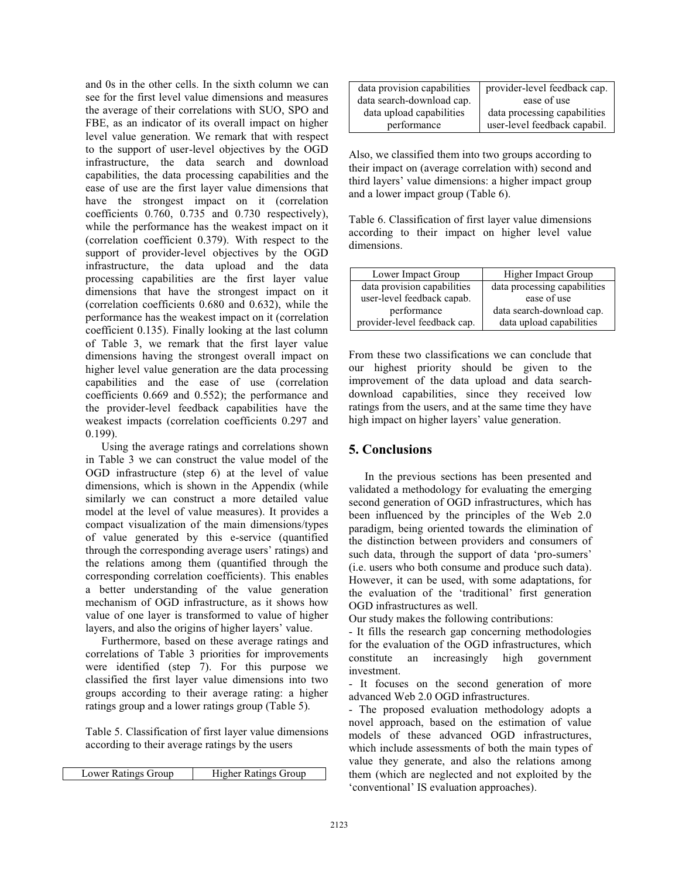and 0s in the other cells. In the sixth column we can see for the first level value dimensions and measures the average of their correlations with SUO, SPO and FBE, as an indicator of its overall impact on higher level value generation. We remark that with respect to the support of user-level objectives by the OGD infrastructure, the data search and download capabilities, the data processing capabilities and the ease of use are the first layer value dimensions that have the strongest impact on it (correlation coefficients 0.760, 0.735 and 0.730 respectively), while the performance has the weakest impact on it (correlation coefficient 0.379). With respect to the support of provider-level objectives by the OGD infrastructure, the data upload and the data processing capabilities are the first layer value dimensions that have the strongest impact on it (correlation coefficients 0.680 and 0.632), while the performance has the weakest impact on it (correlation coefficient 0.135). Finally looking at the last column of Table 3, we remark that the first layer value dimensions having the strongest overall impact on higher level value generation are the data processing capabilities and the ease of use (correlation coefficients 0.669 and 0.552); the performance and the provider-level feedback capabilities have the weakest impacts (correlation coefficients 0.297 and 0.199).

Using the average ratings and correlations shown in Table 3 we can construct the value model of the OGD infrastructure (step 6) at the level of value dimensions, which is shown in the Appendix (while similarly we can construct a more detailed value model at the level of value measures). It provides a compact visualization of the main dimensions/types of value generated by this e-service (quantified through the corresponding average users' ratings) and the relations among them (quantified through the corresponding correlation coefficients). This enables a better understanding of the value generation mechanism of OGD infrastructure, as it shows how value of one layer is transformed to value of higher layers, and also the origins of higher layers' value.

Furthermore, based on these average ratings and correlations of Table 3 priorities for improvements were identified (step 7). For this purpose we classified the first layer value dimensions into two groups according to their average rating: a higher ratings group and a lower ratings group (Table 5).

Table 5. Classification of first layer value dimensions according to their average ratings by the users

| Lower Ratings Group | Higher Ratings Group |
|---------------------|----------------------|
|                     |                      |

| data provision capabilities | provider-level feedback cap. |
|-----------------------------|------------------------------|
| data search-download cap.   | ease of use                  |
| data upload capabilities    | data processing capabilities |
| performance                 | user-level feedback capabil. |

Also, we classified them into two groups according to their impact on (average correlation with) second and third layers' value dimensions: a higher impact group and a lower impact group (Table 6).

Table 6. Classification of first layer value dimensions according to their impact on higher level value dimensions.

| Lower Impact Group           | <b>Higher Impact Group</b>   |
|------------------------------|------------------------------|
| data provision capabilities  | data processing capabilities |
| user-level feedback capab.   | ease of use                  |
| performance                  | data search-download cap.    |
| provider-level feedback cap. | data upload capabilities     |

From these two classifications we can conclude that our highest priority should be given to the improvement of the data upload and data searchdownload capabilities, since they received low ratings from the users, and at the same time they have high impact on higher layers' value generation.

## **5. Conclusions**

In the previous sections has been presented and validated a methodology for evaluating the emerging second generation of OGD infrastructures, which has been influenced by the principles of the Web 2.0 paradigm, being oriented towards the elimination of the distinction between providers and consumers of such data, through the support of data 'pro-sumers' (i.e. users who both consume and produce such data). However, it can be used, with some adaptations, for the evaluation of the 'traditional' first generation OGD infrastructures as well.

Our study makes the following contributions:

- It fills the research gap concerning methodologies for the evaluation of the OGD infrastructures, which constitute an increasingly high government investment.

- It focuses on the second generation of more advanced Web 2.0 OGD infrastructures.

- The proposed evaluation methodology adopts a novel approach, based on the estimation of value models of these advanced OGD infrastructures, which include assessments of both the main types of value they generate, and also the relations among them (which are neglected and not exploited by the 'conventional' IS evaluation approaches).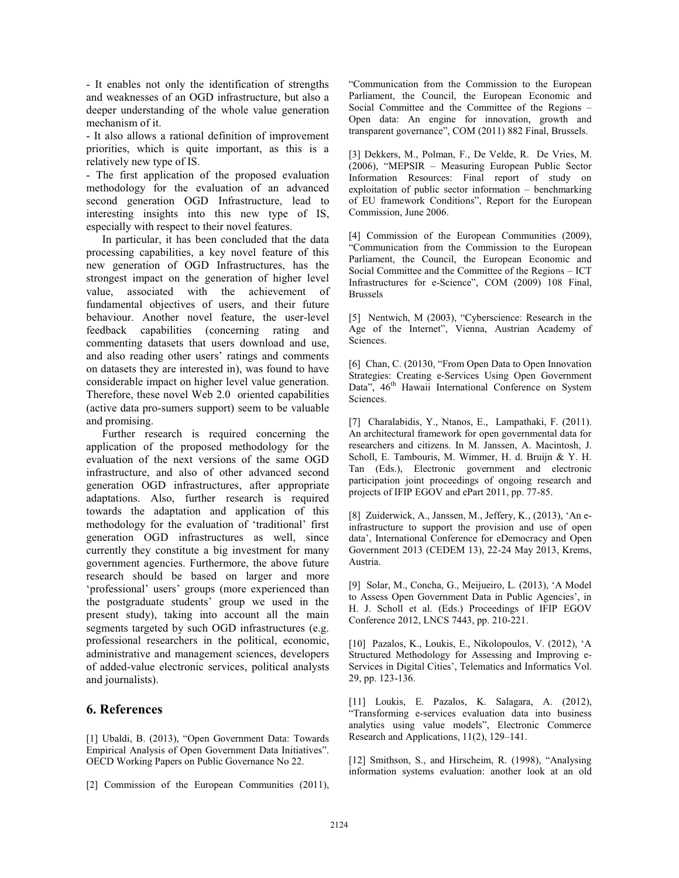- It enables not only the identification of strengths and weaknesses of an OGD infrastructure, but also a deeper understanding of the whole value generation mechanism of it.

- It also allows a rational definition of improvement priorities, which is quite important, as this is a relatively new type of IS.

- The first application of the proposed evaluation methodology for the evaluation of an advanced second generation OGD Infrastructure, lead to interesting insights into this new type of IS, especially with respect to their novel features.

In particular, it has been concluded that the data processing capabilities, a key novel feature of this new generation of OGD Infrastructures, has the strongest impact on the generation of higher level value, associated with the achievement of fundamental objectives of users, and their future behaviour. Another novel feature, the user-level feedback capabilities (concerning rating and commenting datasets that users download and use, and also reading other users' ratings and comments on datasets they are interested in), was found to have considerable impact on higher level value generation. Therefore, these novel Web 2.0 oriented capabilities (active data pro-sumers support) seem to be valuable and promising.

Further research is required concerning the application of the proposed methodology for the evaluation of the next versions of the same OGD infrastructure, and also of other advanced second generation OGD infrastructures, after appropriate adaptations. Also, further research is required towards the adaptation and application of this methodology for the evaluation of 'traditional' first generation OGD infrastructures as well, since currently they constitute a big investment for many government agencies. Furthermore, the above future research should be based on larger and more 'professional' users' groups (more experienced than the postgraduate students' group we used in the present study), taking into account all the main segments targeted by such OGD infrastructures (e.g. professional researchers in the political, economic, administrative and management sciences, developers of added-value electronic services, political analysts and journalists).

### **6. References**

[1] Ubaldi, B. (2013), "Open Government Data: Towards Empirical Analysis of Open Government Data Initiatives". OECD Working Papers on Public Governance No 22.

[2] Commission of the European Communities (2011),

"Communication from the Commission to the European Parliament, the Council, the European Economic and Social Committee and the Committee of the Regions – Open data: An engine for innovation, growth and transparent governance", COM (2011) 882 Final, Brussels.

[3] Dekkers, M., Polman, F., De Velde, R. De Vries, M. (2006), "MEPSIR – Measuring European Public Sector Information Resources: Final report of study on exploitation of public sector information – benchmarking of EU framework Conditions", Report for the European Commission, June 2006.

[4] Commission of the European Communities (2009), "Communication from the Commission to the European Parliament, the Council, the European Economic and Social Committee and the Committee of the Regions – ICT Infrastructures for e-Science", COM (2009) 108 Final, Brussels

[5] Nentwich, M (2003), "Cyberscience: Research in the Age of the Internet", Vienna, Austrian Academy of Sciences.

[6] Chan, C. (20130, "From Open Data to Open Innovation Strategies: Creating e-Services Using Open Government Data", 46<sup>th</sup> Hawaii International Conference on System Sciences.

[7] Charalabidis, Y., Ntanos, E., Lampathaki, F. (2011). An architectural framework for open governmental data for researchers and citizens. In M. Janssen, A. Macintosh, J. Scholl, E. Tambouris, M. Wimmer, H. d. Bruijn & Y. H. Tan (Eds.), Electronic government and electronic participation joint proceedings of ongoing research and projects of IFIP EGOV and ePart 2011, pp. 77-85.

[8] Zuiderwick, A., Janssen, M., Jeffery, K., (2013), 'An einfrastructure to support the provision and use of open data', International Conference for eDemocracy and Open Government 2013 (CEDEM 13), 22-24 May 2013, Krems, Austria.

[9] Solar, M., Concha, G., Meijueiro, L. (2013), 'A Model to Assess Open Government Data in Public Agencies', in H. J. Scholl et al. (Eds.) Proceedings of IFIP EGOV Conference 2012, LNCS 7443, pp. 210-221.

[10] Pazalos, K., Loukis, E., Nikolopoulos, V. (2012), 'A Structured Methodology for Assessing and Improving e-Services in Digital Cities', Telematics and Informatics Vol. 29, pp. 123-136.

[11] Loukis, E. Pazalos, K. Salagara, A. (2012), "Transforming e-services evaluation data into business analytics using value models", Electronic Commerce Research and Applications, 11(2), 129–141.

[12] Smithson, S., and Hirscheim, R. (1998), "Analysing information systems evaluation: another look at an old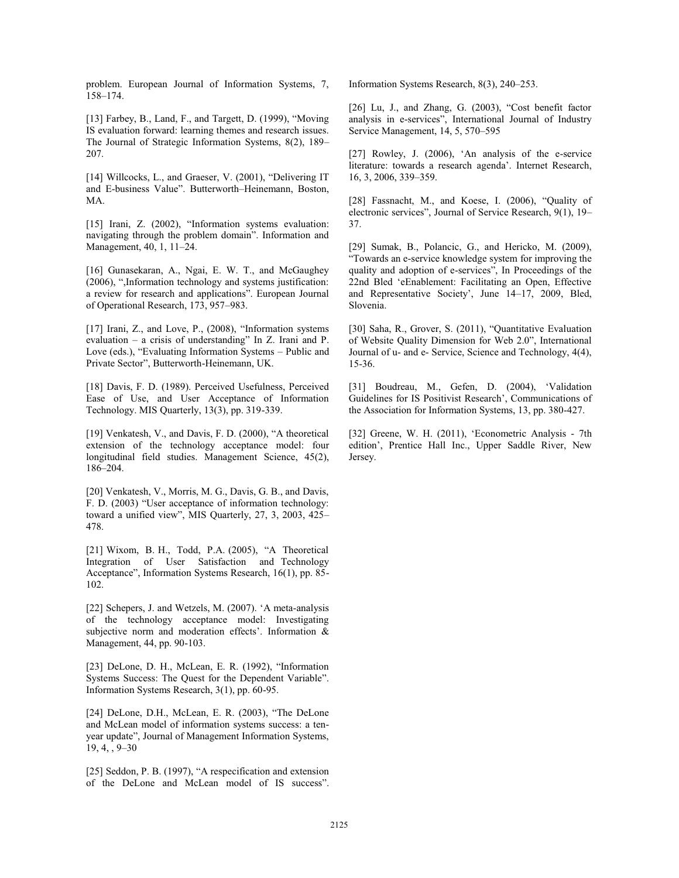problem. European Journal of Information Systems, 7, 158–174.

[13] Farbey, B., Land, F., and Targett, D. (1999), "Moving IS evaluation forward: learning themes and research issues. The Journal of Strategic Information Systems, 8(2), 189– 207.

[14] Willcocks, L., and Graeser, V. (2001), "Delivering IT and E-business Value". Butterworth–Heinemann, Boston, MA.

[15] Irani, Z. (2002), "Information systems evaluation: navigating through the problem domain". Information and Management, 40, 1, 11–24.

[16] Gunasekaran, A., Ngai, E. W. T., and McGaughey (2006), ",Information technology and systems justification: a review for research and applications". European Journal of Operational Research, 173, 957–983.

[17] Irani, Z., and Love, P., (2008), "Information systems evaluation – a crisis of understanding" In Z. Irani and P. Love (eds.), "Evaluating Information Systems – Public and Private Sector", Butterworth-Heinemann, UK.

[18] Davis, F. D. (1989). Perceived Usefulness, Perceived Ease of Use, and User Acceptance of Information Technology. MIS Quarterly, 13(3), pp. 319-339.

[19] Venkatesh, V., and Davis, F. D. (2000), "A theoretical extension of the technology acceptance model: four longitudinal field studies. Management Science, 45(2), 186–204.

[20] Venkatesh, V., Morris, M. G., Davis, G. B., and Davis, F. D. (2003) "User acceptance of information technology: toward a unified view", MIS Quarterly, 27, 3, 2003, 425– 478.

[21] Wixom, B. H., Todd, P.A. (2005), "A Theoretical Integration of User Satisfaction and Technology Acceptance", Information Systems Research, 16(1), pp. 85- 102.

[22] Schepers, J. and Wetzels, M. (2007). 'A meta-analysis of the technology acceptance model: Investigating subjective norm and moderation effects'. Information & Management, 44, pp. 90-103.

[23] DeLone, D. H., McLean, E. R. (1992), "Information Systems Success: The Quest for the Dependent Variable". Information Systems Research, 3(1), pp. 60-95.

[24] DeLone, D.H., McLean, E. R. (2003), "The DeLone and McLean model of information systems success: a tenyear update", Journal of Management Information Systems, 19, 4, , 9–30

[25] Seddon, P. B. (1997), "A respecification and extension of the DeLone and McLean model of IS success". Information Systems Research, 8(3), 240–253.

[26] Lu, J., and Zhang, G. (2003), "Cost benefit factor analysis in e-services", International Journal of Industry Service Management, 14, 5, 570–595

[27] Rowley, J. (2006), 'An analysis of the e-service literature: towards a research agenda'. Internet Research, 16, 3, 2006, 339–359.

[28] Fassnacht, M., and Koese, I. (2006), "Quality of electronic services", Journal of Service Research, 9(1), 19– 37.

[29] Sumak, B., Polancic, G., and Hericko, M. (2009), "Towards an e-service knowledge system for improving the quality and adoption of e-services", In Proceedings of the 22nd Bled 'eEnablement: Facilitating an Open, Effective and Representative Society', June 14–17, 2009, Bled, Slovenia.

[30] Saha, R., Grover, S. (2011), "Quantitative Evaluation of Website Quality Dimension for Web 2.0", International Journal of u- and e- Service, Science and Technology, 4(4), 15-36.

[31] Boudreau, M., Gefen, D. (2004), 'Validation Guidelines for IS Positivist Research', Communications of the Association for Information Systems, 13, pp. 380-427.

[32] Greene, W. H. (2011), 'Econometric Analysis - 7th edition', Prentice Hall Inc., Upper Saddle River, New Jersey.